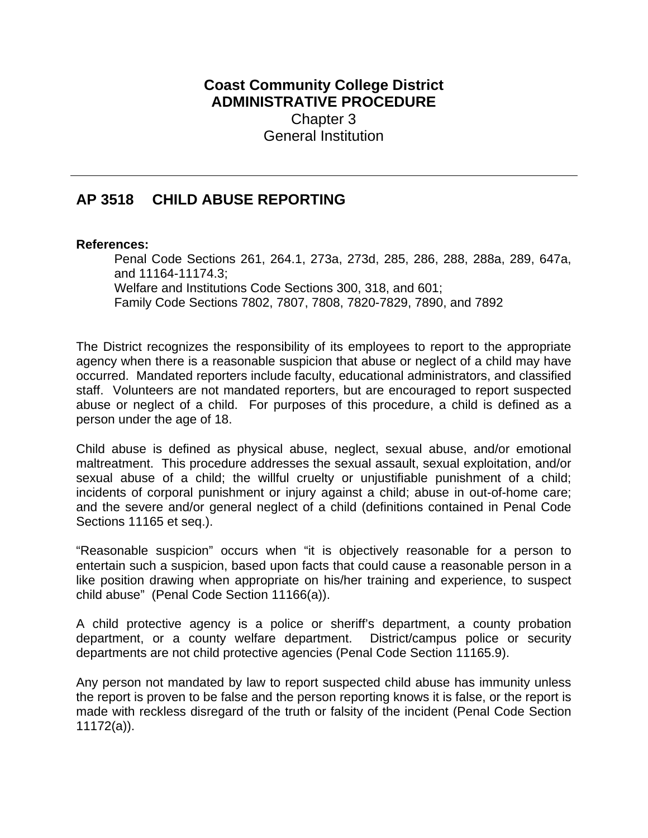## **Coast Community College District ADMINISTRATIVE PROCEDURE** Chapter 3 General Institution

## **AP 3518 CHILD ABUSE REPORTING**

## **References:**

Penal Code Sections 261, 264.1, 273a, 273d, 285, 286, 288, 288a, 289, 647a, and 11164-11174.3; Welfare and Institutions Code Sections 300, 318, and 601; Family Code Sections 7802, 7807, 7808, 7820-7829, 7890, and 7892

The District recognizes the responsibility of its employees to report to the appropriate agency when there is a reasonable suspicion that abuse or neglect of a child may have occurred. Mandated reporters include faculty, educational administrators, and classified staff. Volunteers are not mandated reporters, but are encouraged to report suspected abuse or neglect of a child. For purposes of this procedure, a child is defined as a person under the age of 18.

Child abuse is defined as physical abuse, neglect, sexual abuse, and/or emotional maltreatment. This procedure addresses the sexual assault, sexual exploitation, and/or sexual abuse of a child; the willful cruelty or unjustifiable punishment of a child; incidents of corporal punishment or injury against a child; abuse in out-of-home care; and the severe and/or general neglect of a child (definitions contained in Penal Code Sections 11165 et seq.).

"Reasonable suspicion" occurs when "it is objectively reasonable for a person to entertain such a suspicion, based upon facts that could cause a reasonable person in a like position drawing when appropriate on his/her training and experience, to suspect child abuse" (Penal Code Section 11166(a)).

A child protective agency is a police or sheriff's department, a county probation department, or a county welfare department. District/campus police or security departments are not child protective agencies (Penal Code Section 11165.9).

Any person not mandated by law to report suspected child abuse has immunity unless the report is proven to be false and the person reporting knows it is false, or the report is made with reckless disregard of the truth or falsity of the incident (Penal Code Section 11172(a)).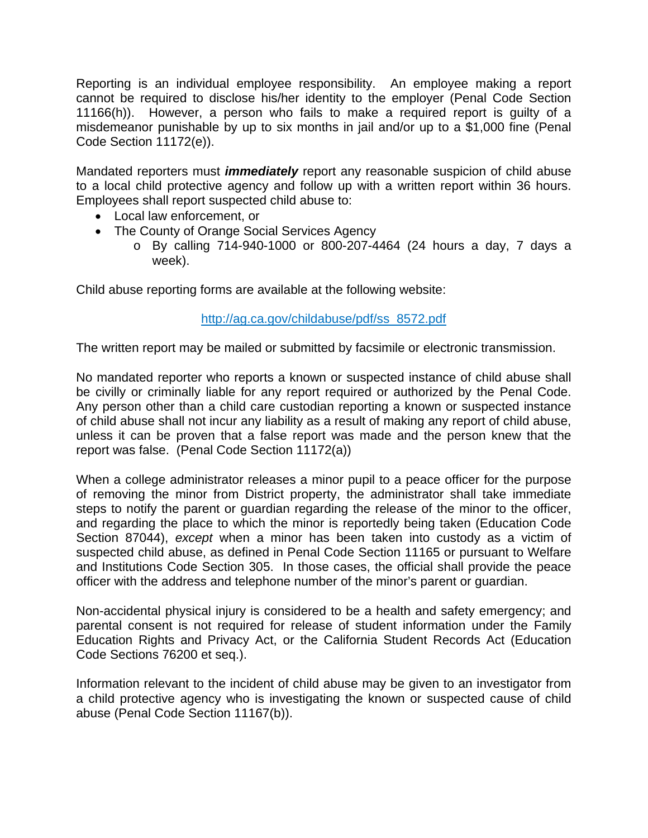Reporting is an individual employee responsibility. An employee making a report cannot be required to disclose his/her identity to the employer (Penal Code Section 11166(h)). However, a person who fails to make a required report is guilty of a misdemeanor punishable by up to six months in jail and/or up to a \$1,000 fine (Penal Code Section 11172(e)).

Mandated reporters must *immediately* report any reasonable suspicion of child abuse to a local child protective agency and follow up with a written report within 36 hours. Employees shall report suspected child abuse to:

- Local law enforcement, or
- The County of Orange Social Services Agency
	- o By calling 714-940-1000 or 800-207-4464 (24 hours a day, 7 days a week).

Child abuse reporting forms are available at the following website:

## http://ag.ca.gov/childabuse/pdf/ss\_8572.pdf

The written report may be mailed or submitted by facsimile or electronic transmission.

No mandated reporter who reports a known or suspected instance of child abuse shall be civilly or criminally liable for any report required or authorized by the Penal Code. Any person other than a child care custodian reporting a known or suspected instance of child abuse shall not incur any liability as a result of making any report of child abuse, unless it can be proven that a false report was made and the person knew that the report was false. (Penal Code Section 11172(a))

When a college administrator releases a minor pupil to a peace officer for the purpose of removing the minor from District property, the administrator shall take immediate steps to notify the parent or guardian regarding the release of the minor to the officer, and regarding the place to which the minor is reportedly being taken (Education Code Section 87044), *except* when a minor has been taken into custody as a victim of suspected child abuse, as defined in Penal Code Section 11165 or pursuant to Welfare and Institutions Code Section 305. In those cases, the official shall provide the peace officer with the address and telephone number of the minor's parent or guardian.

Non-accidental physical injury is considered to be a health and safety emergency; and parental consent is not required for release of student information under the Family Education Rights and Privacy Act, or the California Student Records Act (Education Code Sections 76200 et seq.).

Information relevant to the incident of child abuse may be given to an investigator from a child protective agency who is investigating the known or suspected cause of child abuse (Penal Code Section 11167(b)).